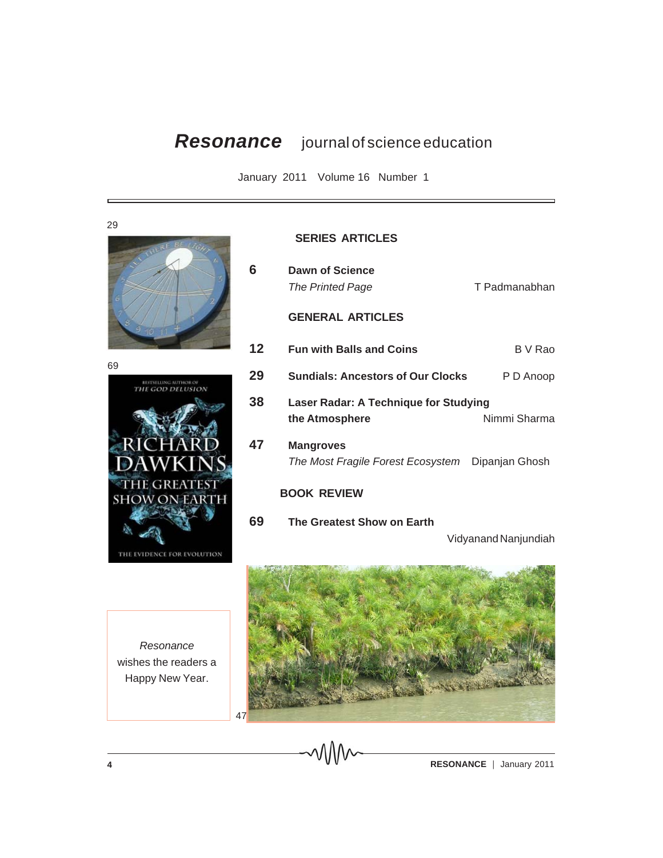## *Resonance* journal of science education

January 2011 Volume 16 Number 1





## **SERIES ARTICLES**

**69 The Greatest Show on Earth**

| 6           | Dawn of Science<br>The Printed Page                     | T Padmanabhan  |
|-------------|---------------------------------------------------------|----------------|
|             | <b>GENERAL ARTICLES</b>                                 |                |
| 12          | <b>Fun with Balls and Coins</b>                         | B V Rao        |
| 29          | <b>Sundials: Ancestors of Our Clocks</b>                | P D Anoop      |
| 38          | Laser Radar: A Technique for Studying<br>the Atmosphere | Nimmi Sharma   |
| 47          | <b>Mangroves</b><br>The Most Fragile Forest Ecosystem   | Dipanjan Ghosh |
| BOOK REVIEW |                                                         |                |

Vidyanand Nanjundiah



*Resonance* wishes the readers a Happy New Year.

**4 RESONANCE** | January 2011